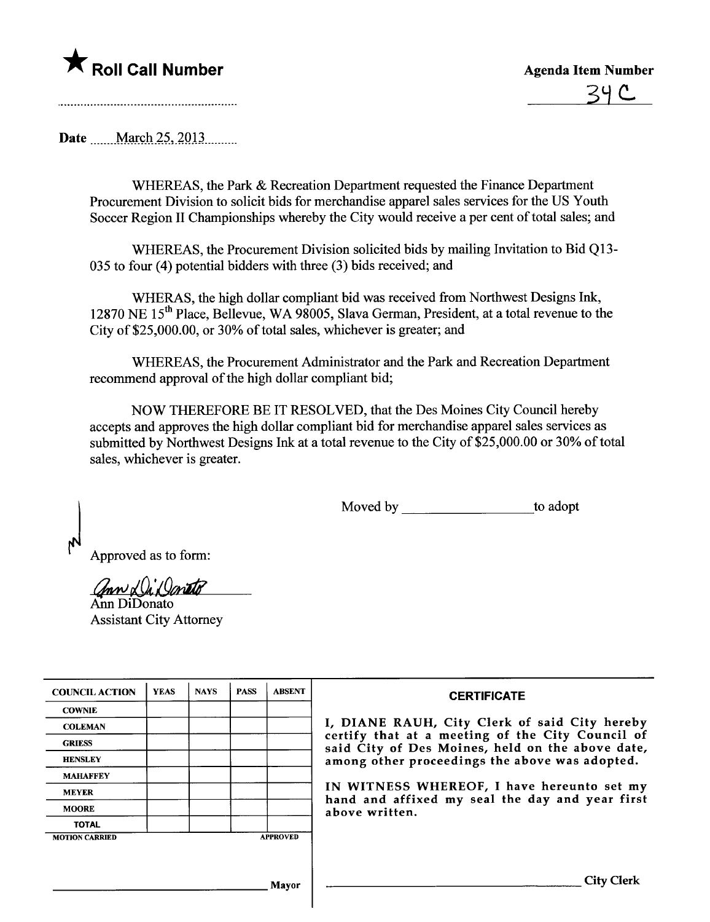

Date  $\blacksquare$  March 25, 2013

WHEREAS, the Park & Recreation Department requested the Finance Department Procurement Division to solicit bids for merchandise apparel sales services for the US Youth Soccer Region II Championships whereby the City would receive a per cent of total sales; and

WHEREAS, the Procurement Division solicited bids by mailing Invitation to Bid Q13-035 to four (4) potential bidders with three (3) bids received; and

WHERAS, the high dollar compliant bid was received from Northwest Designs Ink, 12870 NE 15<sup>th</sup> Place, Bellevue, WA 98005, Slava German, President, at a total revenue to the City of \$25,000.00, or 30% of total sales, whichever is greater; and

WHEREAS, the Procurement Administrator and the Park and Recreation Deparment recommend approval of the high dollar compliant bid;

NOW THEREFORE BE IT RESOLVED, that the Des Moines City Council hereby accepts and approves the high dollar compliant bid for merchandise apparel sales services as submitted by Northwest Designs Ink at a total revenue to the City of \$25,000.00 or 30% of total sales, whichever is greater.

Moved by to adopt

Approved as to form:

ann La'Daneto

Ann DiDonato Assistant City Attorney

| <b>COUNCIL ACTION</b> | <b>YEAS</b> | <b>NAYS</b> | <b>PASS</b> | <b>ABSENT</b>   | <b>CERTIFICATE</b>                                                                                   |
|-----------------------|-------------|-------------|-------------|-----------------|------------------------------------------------------------------------------------------------------|
| <b>COWNIE</b>         |             |             |             |                 |                                                                                                      |
| <b>COLEMAN</b>        |             |             |             |                 | I, DIANE RAUH, City Clerk of said City hereby                                                        |
| <b>GRIESS</b>         |             |             |             |                 | certify that at a meeting of the City Council of<br>said City of Des Moines, held on the above date, |
| <b>HENSLEY</b>        |             |             |             |                 | among other proceedings the above was adopted.                                                       |
| <b>MAHAFFEY</b>       |             |             |             |                 |                                                                                                      |
| <b>MEYER</b>          |             |             |             |                 | IN WITNESS WHEREOF, I have hereunto set my<br>hand and affixed my seal the day and year first        |
| <b>MOORE</b>          |             |             |             |                 | above written.                                                                                       |
| <b>TOTAL</b>          |             |             |             |                 |                                                                                                      |
| <b>MOTION CARRIED</b> |             |             |             | <b>APPROVED</b> |                                                                                                      |
|                       |             |             |             |                 |                                                                                                      |
|                       |             |             |             | <b>Mayor</b>    | <b>City Clerk</b>                                                                                    |